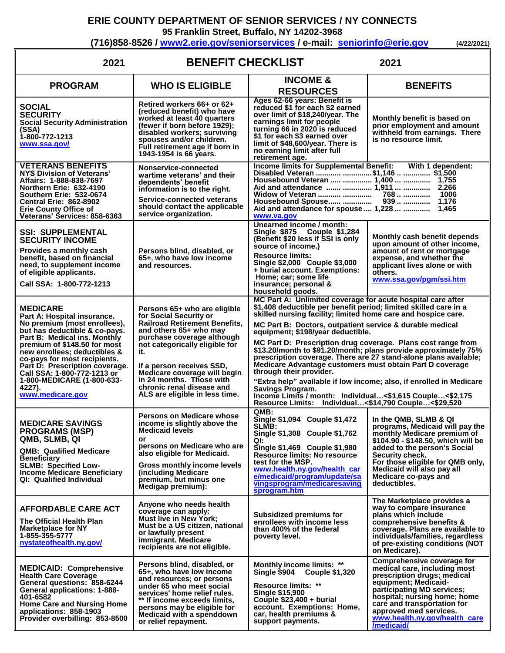## **ERIE COUNTY DEPARTMENT OF SENIOR SERVICES / NY CONNECTS**

**95 Franklin Street, Buffalo, NY 14202-3968**

**(716)858-8526 / [www2.erie.gov/seniorservices](mailto:www2.erie.gov/seniorservices) / e-mail: [seniorinfo@erie.gov](mailto:seniorinfo@erie.gov) (4/22/2021)**

| <b>BENEFIT CHECKLIST</b><br>2021<br>2021                                                                                                                                                                                                                                                                                                                                     |                                                                                                                                                                                                                                                                                                                                                         |                                                                                                                                                                                                                                                                                                                                                                                                                                                                                                                                                                                                                                                                                                                                                                                                                |                                                                                                                                                                                                                                                                                            |
|------------------------------------------------------------------------------------------------------------------------------------------------------------------------------------------------------------------------------------------------------------------------------------------------------------------------------------------------------------------------------|---------------------------------------------------------------------------------------------------------------------------------------------------------------------------------------------------------------------------------------------------------------------------------------------------------------------------------------------------------|----------------------------------------------------------------------------------------------------------------------------------------------------------------------------------------------------------------------------------------------------------------------------------------------------------------------------------------------------------------------------------------------------------------------------------------------------------------------------------------------------------------------------------------------------------------------------------------------------------------------------------------------------------------------------------------------------------------------------------------------------------------------------------------------------------------|--------------------------------------------------------------------------------------------------------------------------------------------------------------------------------------------------------------------------------------------------------------------------------------------|
| <b>PROGRAM</b>                                                                                                                                                                                                                                                                                                                                                               | <b>WHO IS ELIGIBLE</b>                                                                                                                                                                                                                                                                                                                                  | <b>INCOME &amp;</b><br><b>RESOURCES</b>                                                                                                                                                                                                                                                                                                                                                                                                                                                                                                                                                                                                                                                                                                                                                                        | <b>BENEFITS</b>                                                                                                                                                                                                                                                                            |
| <b>SOCIAL</b><br><b>SECURITY</b><br><b>Social Security Administration</b><br>(SSA)<br>1-800-772-1213<br>www.ssa.gov/                                                                                                                                                                                                                                                         | Retired workers 66+ or 62+<br>(reduced benefit) who have<br>worked at least 40 quarters<br>(fewer if born before 1929);<br>disabled workers; surviving<br>spouses and/or children.<br>Full retirement age if born in<br>1943-1954 is 66 years.                                                                                                          | Ages 62-66 years: Benefit is<br>reduced \$1 for each \$2 earned<br>over limit of \$18,240/year. The<br>earnings limit for people<br>turning 66 in 2020 is reduced<br>\$1 for each \$3 earned over<br>limit of \$48,600/year. There is<br>no earning limit after full<br>retirement age.                                                                                                                                                                                                                                                                                                                                                                                                                                                                                                                        | Monthly benefit is based on<br>prior employment and amount<br>withheld from earnings. There<br>is no resource limit.                                                                                                                                                                       |
| <b>VETERANS BENEFITS</b><br>NYS Division of Veterans'<br>Affairs: 1-888-838-7697<br>Northern Erie: 632-4190<br><b>Southern Erie: 532-0674</b><br><b>Central Erie: 862-8902</b><br><b>Erie County Office of</b><br>Veterans' Services: 858-6363                                                                                                                               | Nonservice-connected<br>wartime veterans' and their<br>dependents' benefit<br>information is to the right.<br>Service-connected veterans<br>should contact the applicable<br>service organization.                                                                                                                                                      | Income limits for Supplemental Benefit: With 1 dependent:<br>Disabled Veteran  \$1,146   \$1,500<br>Housebound Veteran   1,400   1,755<br>Widow of Veteran<br>Housebound Spouse<br>Aid and attendance for spouse  1,228   1,465<br>www.va.gov                                                                                                                                                                                                                                                                                                                                                                                                                                                                                                                                                                  |                                                                                                                                                                                                                                                                                            |
| <b>SSI: SUPPLEMENTAL</b><br><b>SECURITY INCOME</b><br>Provides a monthly cash<br>benefit, based on financial<br>need, to supplement income<br>of eligible applicants.<br>Call SSA: 1-800-772-1213                                                                                                                                                                            | Persons blind, disabled, or<br>65+, who have low income<br>and resources.                                                                                                                                                                                                                                                                               | Unearned income / month:<br>Single \$875 Couple \$1,284<br>(Benefit \$20 less if SSI is only<br>source of income.)<br><b>Resource limits:</b><br>Single \$2,000 Couple \$3,000<br>+ burial account. Exemptions:<br>Home; car; some life<br>insurance; personal &<br>household goods.                                                                                                                                                                                                                                                                                                                                                                                                                                                                                                                           | Monthly cash benefit depends<br>upon amount of other income,<br>amount of rent or mortgage<br>expense, and whether the<br>applicant lives alone or with<br>others.<br>www.ssa.gov/pgm/ssi.htm                                                                                              |
| <b>MEDICARE</b><br>Part A: Hospital insurance.<br>No premium (most enrollees),<br>but has deductible & co-pays.<br>Part B: Medical ins. Monthly<br>premium of \$148.50 for most<br>new enrollees; deductibles &<br>co-pays for most recipients.<br>Part D: Prescription coverage.<br>Call SSA: 1-800-772-1213 or<br>1-800-MEDICARE (1-800-633-<br>4227).<br>www.medicare.gov | Persons 65+ who are eligible<br>for Social Security or<br><b>Railroad Retirement Benefits,</b><br>and others 65+ who may<br>purchase coverage although<br>not categorically eligible for<br>it.<br>If a person receives SSD,<br>Medicare coverage will begin<br>in 24 months. Those with<br>chronic renal disease and<br>ALS are eligible in less time. | MC Part A: Unlimited coverage for acute hospital care after<br>\$1,408 deductible per benefit period; limited skilled care in a<br>skilled nursing facility; limited home care and hospice care.<br>MC Part B: Doctors, outpatient service & durable medical<br>equipment; \$198/year deductible.<br>MC Part D: Prescription drug coverage. Plans cost range from<br>\$13.20/month to \$91.20/month; plans provide approximately 75%<br>prescription coverage. There are 27 stand-alone plans available;<br>Medicare Advantage customers must obtain Part D coverage<br>through their provider.<br>"Extra help" available if low income; also, if enrolled in Medicare<br>Savings Program.<br>Income Limits / month: Individual<\$1,615 Couple<\$2,175<br>Resource Limits: Individual<\$14,790 Couple<\$29,520 |                                                                                                                                                                                                                                                                                            |
| <b>MEDICARE SAVINGS</b><br><b>PROGRAMS (MSP)</b><br>QMB, SLMB, QI<br><b>QMB: Qualified Medicare</b><br><b>Beneficiary</b><br><b>SLMB: Specified Low-</b><br><b>Income Medicare Beneficiary</b><br>QI: Qualified Individual                                                                                                                                                   | Persons on Medicare whose<br>income is slightly above the<br><b>Medicaid levels</b><br>or<br>persons on Medicare who are<br>also eligible for Medicaid.<br><b>Gross monthly income levels</b><br>(including Medicare<br>premium, but minus one<br>Medigap premium):                                                                                     | QMB:<br>Single \$1,094 Couple \$1,472<br>SLMB:<br>Single \$1,308 Couple \$1,762<br>QI:<br>Single \$1,469 Couple \$1,980<br><b>Resource limits: No resource</b><br>test for the MSP.<br>www.health.ny.gov/health car<br>e/medicaid/program/update/sa<br>vingsprogram/medicaresaving<br>sprogram.htm                                                                                                                                                                                                                                                                                                                                                                                                                                                                                                             | In the QMB, SLMB & QI<br>programs, Medicaid will pay the<br>monthly Medicare premium of<br>\$104.90 - \$148.50, which will be<br>added to the person's Social<br>Security check.<br>For those eligible for QMB only,<br>Medicaid will also pay all<br>Medicare co-pays and<br>deductibles. |
| <b>AFFORDABLE CARE ACT</b><br>The Official Health Plan<br><b>Marketplace for NY</b><br>1-855-355-5777<br>nystateofhealth.ny.gov/                                                                                                                                                                                                                                             | Anyone who needs health<br>coverage can apply:<br><b>Must live in New York;</b><br>Must be a US citizen, national<br>or lawfully present<br>immigrant. Medicare<br>recipients are not eligible.                                                                                                                                                         | Subsidized premiums for<br>enrollees with income less<br>than 400% of the federal<br>poverty level.                                                                                                                                                                                                                                                                                                                                                                                                                                                                                                                                                                                                                                                                                                            | The Marketplace provides a<br>way to compare insurance<br>plans which include<br>comprehensive benefits &<br>coverage. Plans are available to<br>individuals/families, regardless<br>of pre-existing conditions (NOT<br>on Medicare).                                                      |
| <b>MEDICAID: Comprehensive</b><br><b>Health Care Coverage</b><br>General questions: 858-6244<br><b>General applications: 1-888-</b><br>401-6582<br><b>Home Care and Nursing Home</b><br>applications: 858-1903<br>Provider overbilling: 853-8500                                                                                                                             | Persons blind, disabled, or<br>65+, who have low income<br>and resources; or persons<br>under 65 who meet social<br>services' home relief rules.<br>** If income exceeds limits,<br>persons may be eligible for<br>Medicaid with a spenddown<br>or relief repayment.                                                                                    | <b>Monthly income limits: **</b><br>Single \$904<br><b>Couple \$1,320</b><br>Resource limits: **<br><b>Single \$15,900</b><br>Couple $$23,400 + 60$<br>account. Exemptions: Home,<br>car, health premiums &<br>support payments.                                                                                                                                                                                                                                                                                                                                                                                                                                                                                                                                                                               | Comprehensive coverage for<br>medical care, including most<br>prescription drugs; medical<br>equipment; Medicaid-<br>participating MD services;<br>hospital; nursing home; home<br>care and transportation for<br>approved med services.<br>www.health.ny.gov/health_care<br>/medicaid/    |